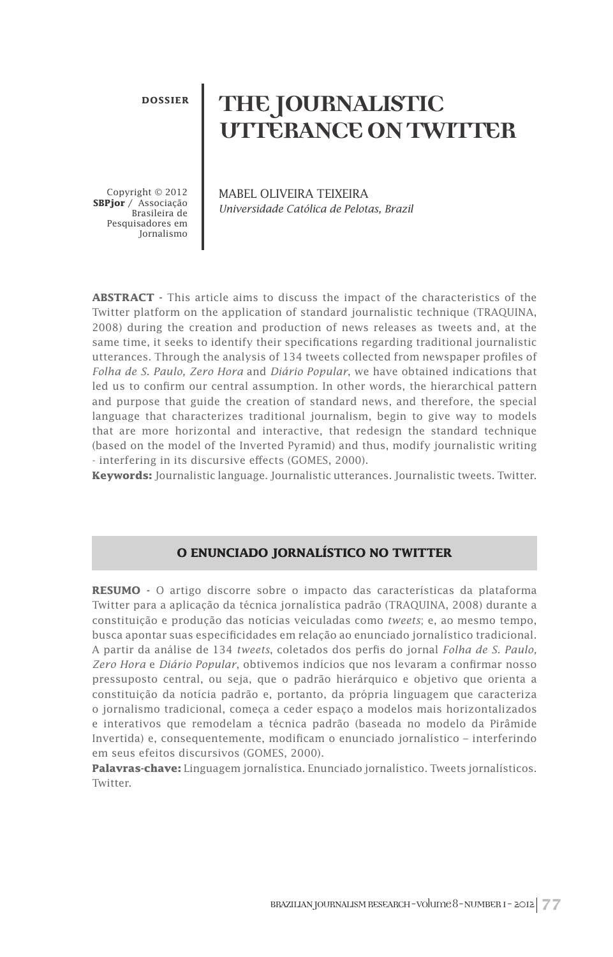**DOSSIER**

# **THE JOURNALISTIC UTTERANCE ON TWITTER**

Copyright © 2012 **SBPjor** / Associação Brasileira de Pesquisadores em Jornalismo MABEL OLIVEIRA TEIXEIRA *Universidade Católica de Pelotas, Brazil*

**ABSTRACT -** This article aims to discuss the impact of the characteristics of the Twitter platform on the application of standard journalistic technique (TRAQUINA, 2008) during the creation and production of news releases as tweets and, at the same time, it seeks to identify their specifications regarding traditional journalistic utterances. Through the analysis of 134 tweets collected from newspaper profiles of *Folha de S. Paulo, Zero Hora* and *Diário Popular*, we have obtained indications that led us to confirm our central assumption. In other words, the hierarchical pattern and purpose that guide the creation of standard news, and therefore, the special language that characterizes traditional journalism, begin to give way to models that are more horizontal and interactive, that redesign the standard technique (based on the model of the Inverted Pyramid) and thus, modify journalistic writing - interfering in its discursive effects (GOMES, 2000).

**Keywords:** Journalistic language. Journalistic utterances. Journalistic tweets. Twitter.

#### **O ENUNCIADO JORNALÍSTICO NO TWITTER**

**RESUMO -** O artigo discorre sobre o impacto das características da plataforma Twitter para a aplicação da técnica jornalística padrão (TRAQUINA, 2008) durante a constituição e produção das notícias veiculadas como *tweets*; e, ao mesmo tempo, busca apontar suas especificidades em relação ao enunciado jornalístico tradicional. A partir da análise de 134 *tweets*, coletados dos perfis do jornal *Folha de S. Paulo, Zero Hora* e *Diário Popular*, obtivemos indícios que nos levaram a confirmar nosso pressuposto central, ou seja, que o padrão hierárquico e objetivo que orienta a constituição da notícia padrão e, portanto, da própria linguagem que caracteriza o jornalismo tradicional, começa a ceder espaço a modelos mais horizontalizados e interativos que remodelam a técnica padrão (baseada no modelo da Pirâmide Invertida) e, consequentemente, modificam o enunciado jornalístico – interferindo em seus efeitos discursivos (GOMES, 2000).

**Palavras-chave:** Linguagem jornalística. Enunciado jornalístico. Tweets jornalísticos. Twitter.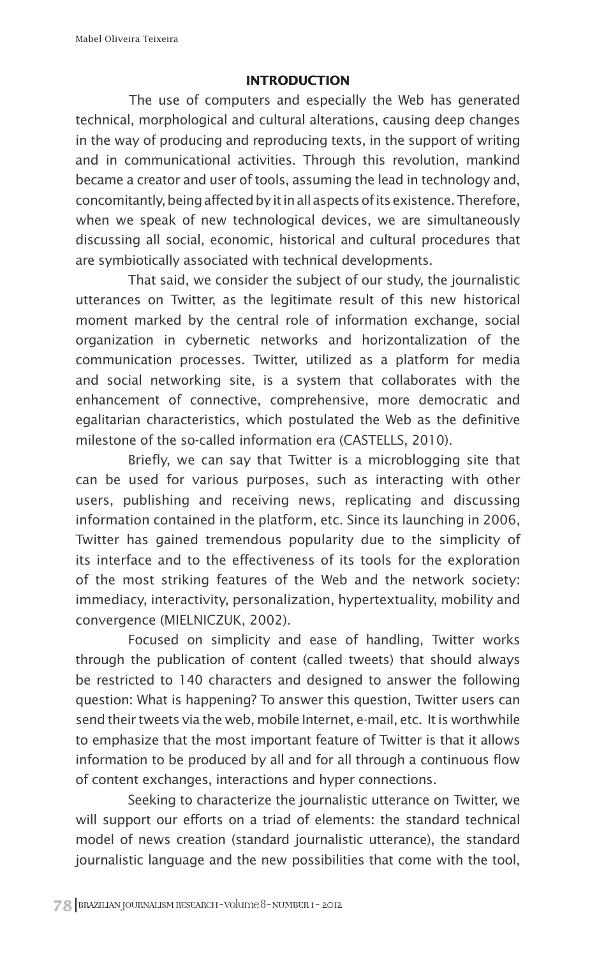## **INTRODUCTION**

The use of computers and especially the Web has generated technical, morphological and cultural alterations, causing deep changes in the way of producing and reproducing texts, in the support of writing and in communicational activities. Through this revolution, mankind became a creator and user of tools, assuming the lead in technology and, concomitantly, being affected by it in all aspects of its existence. Therefore, when we speak of new technological devices, we are simultaneously discussing all social, economic, historical and cultural procedures that are symbiotically associated with technical developments.

That said, we consider the subject of our study, the journalistic utterances on Twitter, as the legitimate result of this new historical moment marked by the central role of information exchange, social organization in cybernetic networks and horizontalization of the communication processes. Twitter, utilized as a platform for media and social networking site, is a system that collaborates with the enhancement of connective, comprehensive, more democratic and egalitarian characteristics, which postulated the Web as the definitive milestone of the so-called information era (CASTELLS, 2010).

Briefly, we can say that Twitter is a microblogging site that can be used for various purposes, such as interacting with other users, publishing and receiving news, replicating and discussing information contained in the platform, etc. Since its launching in 2006, Twitter has gained tremendous popularity due to the simplicity of its interface and to the effectiveness of its tools for the exploration of the most striking features of the Web and the network society: immediacy, interactivity, personalization, hypertextuality, mobility and convergence (MIELNICZUK, 2002).

Focused on simplicity and ease of handling, Twitter works through the publication of content (called tweets) that should always be restricted to 140 characters and designed to answer the following question: What is happening? To answer this question, Twitter users can send their tweets via the web, mobile Internet, e-mail, etc. It is worthwhile to emphasize that the most important feature of Twitter is that it allows information to be produced by all and for all through a continuous flow of content exchanges, interactions and hyper connections.

Seeking to characterize the journalistic utterance on Twitter, we will support our efforts on a triad of elements: the standard technical model of news creation (standard journalistic utterance), the standard journalistic language and the new possibilities that come with the tool,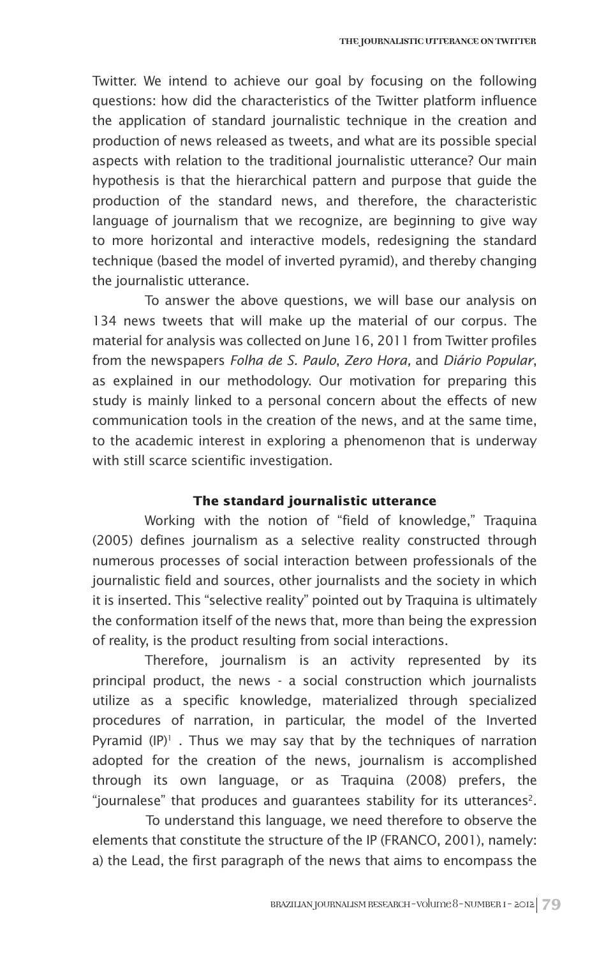Twitter. We intend to achieve our goal by focusing on the following questions: how did the characteristics of the Twitter platform influence the application of standard journalistic technique in the creation and production of news released as tweets, and what are its possible special aspects with relation to the traditional journalistic utterance? Our main hypothesis is that the hierarchical pattern and purpose that guide the production of the standard news, and therefore, the characteristic language of journalism that we recognize, are beginning to give way to more horizontal and interactive models, redesigning the standard technique (based the model of inverted pyramid), and thereby changing the journalistic utterance.

To answer the above questions, we will base our analysis on 134 news tweets that will make up the material of our corpus. The material for analysis was collected on June 16, 2011 from Twitter profiles from the newspapers *Folha de S. Paulo*, *Zero Hora,* and *Diário Popular*, as explained in our methodology. Our motivation for preparing this study is mainly linked to a personal concern about the effects of new communication tools in the creation of the news, and at the same time, to the academic interest in exploring a phenomenon that is underway with still scarce scientific investigation.

#### **The standard journalistic utterance**

Working with the notion of "field of knowledge," Traquina (2005) defines journalism as a selective reality constructed through numerous processes of social interaction between professionals of the journalistic field and sources, other journalists and the society in which it is inserted. This "selective reality" pointed out by Traquina is ultimately the conformation itself of the news that, more than being the expression of reality, is the product resulting from social interactions.

Therefore, journalism is an activity represented by its principal product, the news - a social construction which journalists utilize as a specific knowledge, materialized through specialized procedures of narration, in particular, the model of the Inverted Pyramid  $(\mathsf{IP})^1$  . Thus we may say that by the techniques of narration adopted for the creation of the news, journalism is accomplished through its own language, or as Traquina (2008) prefers, the "journalese" that produces and quarantees stability for its utterances<sup>2</sup>.

To understand this language, we need therefore to observe the elements that constitute the structure of the IP (FRANCO, 2001), namely: a) the Lead, the first paragraph of the news that aims to encompass the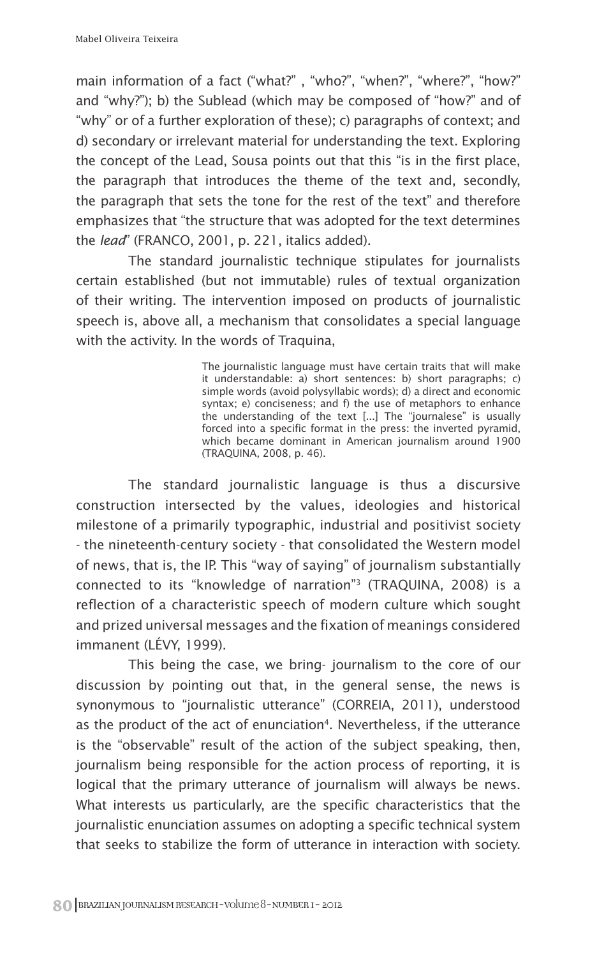main information of a fact ("what?" , "who?", "when?", "where?", "how?" and "why?"); b) the Sublead (which may be composed of "how?" and of "why" or of a further exploration of these); c) paragraphs of context; and d) secondary or irrelevant material for understanding the text. Exploring the concept of the Lead, Sousa points out that this "is in the first place, the paragraph that introduces the theme of the text and, secondly, the paragraph that sets the tone for the rest of the text" and therefore emphasizes that "the structure that was adopted for the text determines the *lead*" (FRANCO, 2001, p. 221, italics added).

The standard journalistic technique stipulates for journalists certain established (but not immutable) rules of textual organization of their writing. The intervention imposed on products of journalistic speech is, above all, a mechanism that consolidates a special language with the activity. In the words of Traquina,

> The journalistic language must have certain traits that will make it understandable: a) short sentences: b) short paragraphs; c) simple words (avoid polysyllabic words); d) a direct and economic syntax; e) conciseness; and f) the use of metaphors to enhance the understanding of the text [...] The "journalese" is usually forced into a specific format in the press: the inverted pyramid, which became dominant in American journalism around 1900 (TRAQUINA, 2008, p. 46).

The standard journalistic language is thus a discursive construction intersected by the values, ideologies and historical milestone of a primarily typographic, industrial and positivist society - the nineteenth-century society - that consolidated the Western model of news, that is, the IP. This "way of saying" of journalism substantially connected to its "knowledge of narration"3 (TRAQUINA, 2008) is a reflection of a characteristic speech of modern culture which sought and prized universal messages and the fixation of meanings considered immanent (LÉVY, 1999).

This being the case, we bring- journalism to the core of our discussion by pointing out that, in the general sense, the news is synonymous to "journalistic utterance" (CORREIA, 2011), understood as the product of the act of enunciation<sup>4</sup>. Nevertheless, if the utterance is the "observable" result of the action of the subject speaking, then, journalism being responsible for the action process of reporting, it is logical that the primary utterance of journalism will always be news. What interests us particularly, are the specific characteristics that the journalistic enunciation assumes on adopting a specific technical system that seeks to stabilize the form of utterance in interaction with society.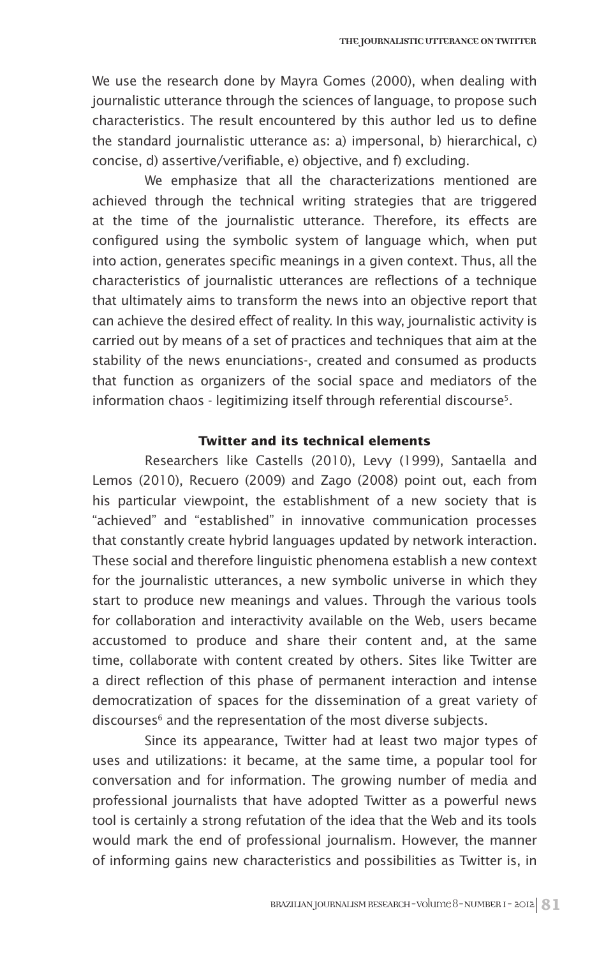We use the research done by Mayra Gomes (2000), when dealing with journalistic utterance through the sciences of language, to propose such characteristics. The result encountered by this author led us to define the standard journalistic utterance as: a) impersonal, b) hierarchical, c) concise, d) assertive/verifiable, e) objective, and f) excluding.

We emphasize that all the characterizations mentioned are achieved through the technical writing strategies that are triggered at the time of the journalistic utterance. Therefore, its effects are configured using the symbolic system of language which, when put into action, generates specific meanings in a given context. Thus, all the characteristics of journalistic utterances are reflections of a technique that ultimately aims to transform the news into an objective report that can achieve the desired effect of reality. In this way, journalistic activity is carried out by means of a set of practices and techniques that aim at the stability of the news enunciations-, created and consumed as products that function as organizers of the social space and mediators of the information chaos - legitimizing itself through referential discourse<sup>5</sup>.

### **Twitter and its technical elements**

Researchers like Castells (2010), Levy (1999), Santaella and Lemos (2010), Recuero (2009) and Zago (2008) point out, each from his particular viewpoint, the establishment of a new society that is "achieved" and "established" in innovative communication processes that constantly create hybrid languages updated by network interaction. These social and therefore linguistic phenomena establish a new context for the journalistic utterances, a new symbolic universe in which they start to produce new meanings and values. Through the various tools for collaboration and interactivity available on the Web, users became accustomed to produce and share their content and, at the same time, collaborate with content created by others. Sites like Twitter are a direct reflection of this phase of permanent interaction and intense democratization of spaces for the dissemination of a great variety of discourses<sup>6</sup> and the representation of the most diverse subjects.

Since its appearance, Twitter had at least two major types of uses and utilizations: it became, at the same time, a popular tool for conversation and for information. The growing number of media and professional journalists that have adopted Twitter as a powerful news tool is certainly a strong refutation of the idea that the Web and its tools would mark the end of professional journalism. However, the manner of informing gains new characteristics and possibilities as Twitter is, in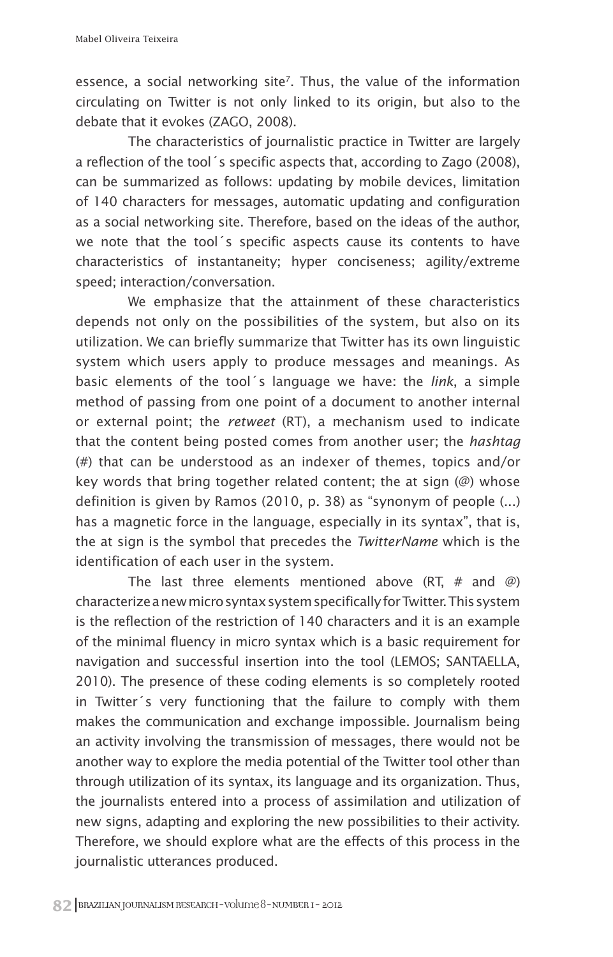essence, a social networking site<sup>7</sup>. Thus, the value of the information circulating on Twitter is not only linked to its origin, but also to the debate that it evokes (ZAGO, 2008).

The characteristics of journalistic practice in Twitter are largely a reflection of the tool´s specific aspects that, according to Zago (2008), can be summarized as follows: updating by mobile devices, limitation of 140 characters for messages, automatic updating and configuration as a social networking site. Therefore, based on the ideas of the author, we note that the tool´s specific aspects cause its contents to have characteristics of instantaneity; hyper conciseness; agility/extreme speed; interaction/conversation.

We emphasize that the attainment of these characteristics depends not only on the possibilities of the system, but also on its utilization. We can briefly summarize that Twitter has its own linguistic system which users apply to produce messages and meanings. As basic elements of the tool´s language we have: the *link*, a simple method of passing from one point of a document to another internal or external point; the *retweet* (RT), a mechanism used to indicate that the content being posted comes from another user; the *hashtag* (#) that can be understood as an indexer of themes, topics and/or key words that bring together related content; the at sign (@) whose definition is given by Ramos (2010, p. 38) as "synonym of people (...) has a magnetic force in the language, especially in its syntax", that is, the at sign is the symbol that precedes the *TwitterName* which is the identification of each user in the system.

The last three elements mentioned above (RT,  $#$  and  $@$ ) characterize a new micro syntax system specifically for Twitter. This system is the reflection of the restriction of 140 characters and it is an example of the minimal fluency in micro syntax which is a basic requirement for navigation and successful insertion into the tool (LEMOS; SANTAELLA, 2010). The presence of these coding elements is so completely rooted in Twitter´s very functioning that the failure to comply with them makes the communication and exchange impossible. Journalism being an activity involving the transmission of messages, there would not be another way to explore the media potential of the Twitter tool other than through utilization of its syntax, its language and its organization. Thus, the journalists entered into a process of assimilation and utilization of new signs, adapting and exploring the new possibilities to their activity. Therefore, we should explore what are the effects of this process in the journalistic utterances produced.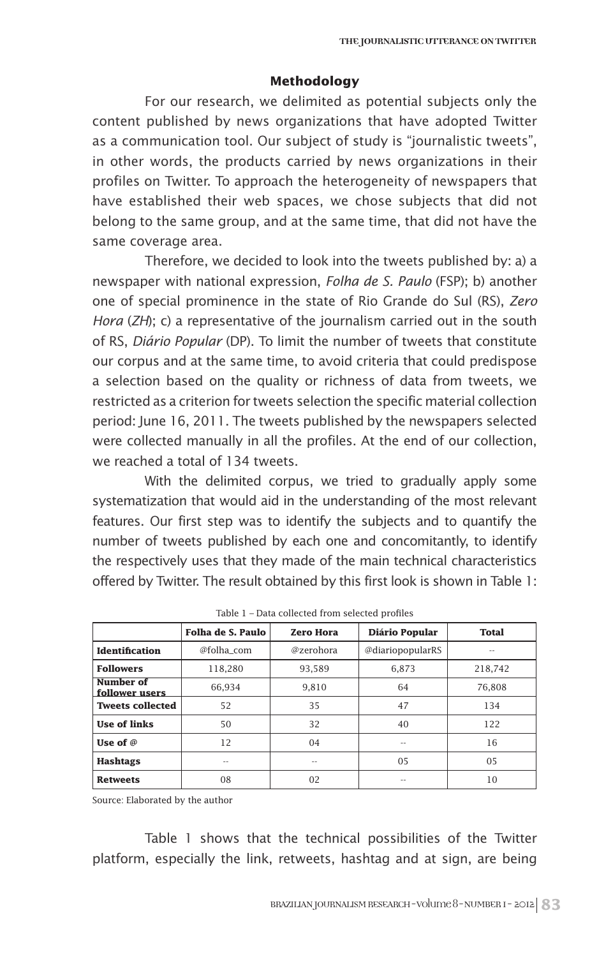#### **Methodology**

For our research, we delimited as potential subjects only the content published by news organizations that have adopted Twitter as a communication tool. Our subject of study is "journalistic tweets", in other words, the products carried by news organizations in their profiles on Twitter. To approach the heterogeneity of newspapers that have established their web spaces, we chose subjects that did not belong to the same group, and at the same time, that did not have the same coverage area.

Therefore, we decided to look into the tweets published by: a) a newspaper with national expression, *Folha de S. Paulo* (FSP); b) another one of special prominence in the state of Rio Grande do Sul (RS), *Zero Hora* (*ZH*); c) a representative of the journalism carried out in the south of RS, *Diário Popular* (DP). To limit the number of tweets that constitute our corpus and at the same time, to avoid criteria that could predispose a selection based on the quality or richness of data from tweets, we restricted as a criterion for tweets selection the specific material collection period: June 16, 2011. The tweets published by the newspapers selected were collected manually in all the profiles. At the end of our collection, we reached a total of 134 tweets.

With the delimited corpus, we tried to gradually apply some systematization that would aid in the understanding of the most relevant features. Our first step was to identify the subjects and to quantify the number of tweets published by each one and concomitantly, to identify the respectively uses that they made of the main technical characteristics offered by Twitter. The result obtained by this first look is shown in Table 1:

|                             | Folha de S. Paulo | <b>Zero Hora</b> | Diário Popular   | <b>Total</b> |
|-----------------------------|-------------------|------------------|------------------|--------------|
| Identification              | @folha com        | @zerohora        | @diariopopularRS | --           |
| <b>Followers</b>            | 118.280           | 93.589           | 6.873            | 218.742      |
| Number of<br>follower users | 66.934            | 9.810            | 64               | 76,808       |
| <b>Tweets collected</b>     | 52                | 35               | 47               | 134          |
| <b>Use of links</b>         | 50                | 32               | 40               | 122          |
| Use of $\varnothing$        | 12                | 04               | $=$              | 16           |
| <b>Hashtags</b>             | $- -$             | $- -$            | 05               | 05           |
| <b>Retweets</b>             | 08                | 02               | --               | 10           |

Source: Elaborated by the author

Table 1 shows that the technical possibilities of the Twitter platform, especially the link, retweets, hashtag and at sign, are being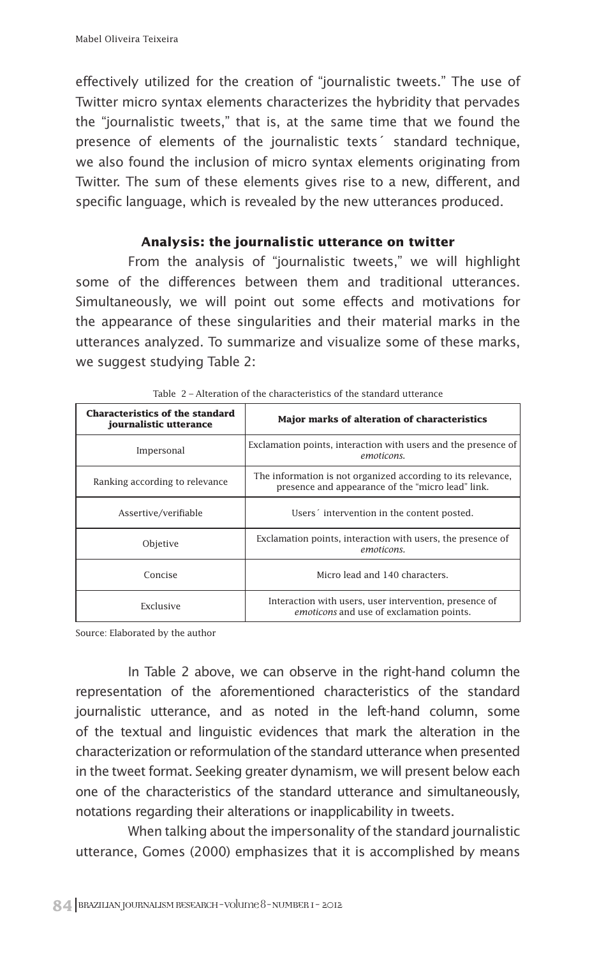effectively utilized for the creation of "journalistic tweets." The use of Twitter micro syntax elements characterizes the hybridity that pervades the "journalistic tweets," that is, at the same time that we found the presence of elements of the journalistic texts´ standard technique, we also found the inclusion of micro syntax elements originating from Twitter. The sum of these elements gives rise to a new, different, and specific language, which is revealed by the new utterances produced.

#### **Analysis: the journalistic utterance on twitter**

From the analysis of "journalistic tweets," we will highlight some of the differences between them and traditional utterances. Simultaneously, we will point out some effects and motivations for the appearance of these singularities and their material marks in the utterances analyzed. To summarize and visualize some of these marks, we suggest studying Table 2:

| <b>Characteristics of the standard</b><br>journalistic utterance | Major marks of alteration of characteristics                                                                      |  |  |
|------------------------------------------------------------------|-------------------------------------------------------------------------------------------------------------------|--|--|
| Impersonal                                                       | Exclamation points, interaction with users and the presence of<br>emoticons.                                      |  |  |
| Ranking according to relevance                                   | The information is not organized according to its relevance,<br>presence and appearance of the "micro lead" link. |  |  |
| Assertive/verifiable                                             | Users 'intervention in the content posted.                                                                        |  |  |
| Objetive                                                         | Exclamation points, interaction with users, the presence of<br>emoticons.                                         |  |  |
| Concise                                                          | Micro lead and 140 characters.                                                                                    |  |  |
| Exclusive                                                        | Interaction with users, user intervention, presence of<br>emoticons and use of exclamation points.                |  |  |

| Table 2 – Alteration of the characteristics of the standard utterance |
|-----------------------------------------------------------------------|
|-----------------------------------------------------------------------|

Source: Elaborated by the author

In Table 2 above, we can observe in the right-hand column the representation of the aforementioned characteristics of the standard journalistic utterance, and as noted in the left-hand column, some of the textual and linguistic evidences that mark the alteration in the characterization or reformulation of the standard utterance when presented in the tweet format. Seeking greater dynamism, we will present below each one of the characteristics of the standard utterance and simultaneously, notations regarding their alterations or inapplicability in tweets.

When talking about the impersonality of the standard journalistic utterance, Gomes (2000) emphasizes that it is accomplished by means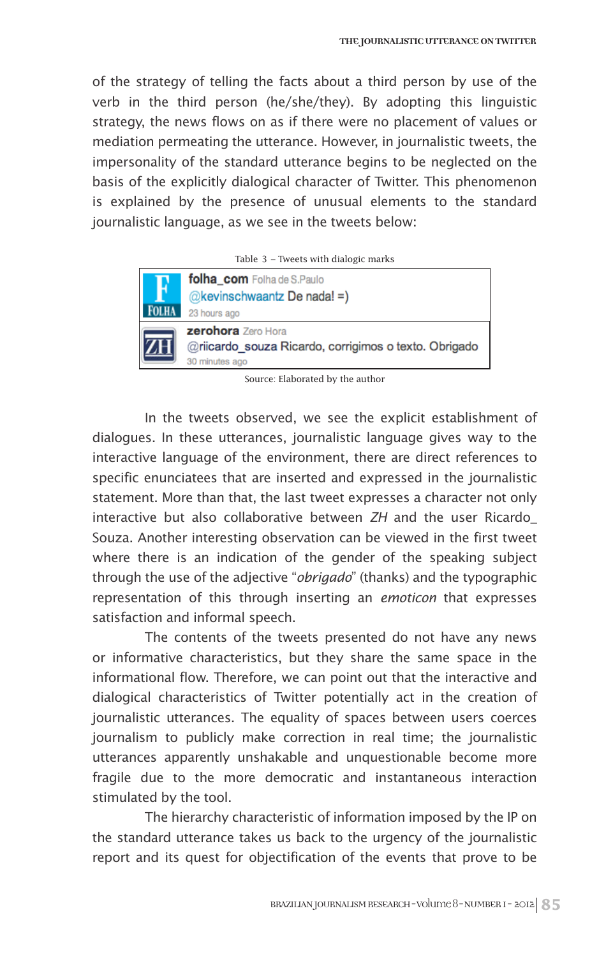of the strategy of telling the facts about a third person by use of the verb in the third person (he/she/they). By adopting this linguistic strategy, the news flows on as if there were no placement of values or mediation permeating the utterance. However, in journalistic tweets, the impersonality of the standard utterance begins to be neglected on the basis of the explicitly dialogical character of Twitter. This phenomenon is explained by the presence of unusual elements to the standard journalistic language, as we see in the tweets below:

| Table $\beta$ – Tweets with dialogic marks            |
|-------------------------------------------------------|
| folha com Folha de S.Paulo                            |
| $@$ kevinschwaantz De nada! =)                        |
| 23 hours ago                                          |
| <b>zerohora</b> Zero Hora                             |
| @riicardo souza Ricardo, corrigimos o texto. Obrigado |
| 30 minutes ago                                        |
|                                                       |

|  |  |  |  |  | Table 3 - Tweets with dialogic marks |  |
|--|--|--|--|--|--------------------------------------|--|
|--|--|--|--|--|--------------------------------------|--|

Source: Elaborated by the author

In the tweets observed, we see the explicit establishment of dialogues. In these utterances, journalistic language gives way to the interactive language of the environment, there are direct references to specific enunciatees that are inserted and expressed in the journalistic statement. More than that, the last tweet expresses a character not only interactive but also collaborative between *ZH* and the user Ricardo\_ Souza. Another interesting observation can be viewed in the first tweet where there is an indication of the gender of the speaking subject through the use of the adjective "*obrigado*" (thanks) and the typographic representation of this through inserting an *emoticon* that expresses satisfaction and informal speech.

The contents of the tweets presented do not have any news or informative characteristics, but they share the same space in the informational flow. Therefore, we can point out that the interactive and dialogical characteristics of Twitter potentially act in the creation of journalistic utterances. The equality of spaces between users coerces journalism to publicly make correction in real time; the journalistic utterances apparently unshakable and unquestionable become more fragile due to the more democratic and instantaneous interaction stimulated by the tool.

The hierarchy characteristic of information imposed by the IP on the standard utterance takes us back to the urgency of the journalistic report and its quest for objectification of the events that prove to be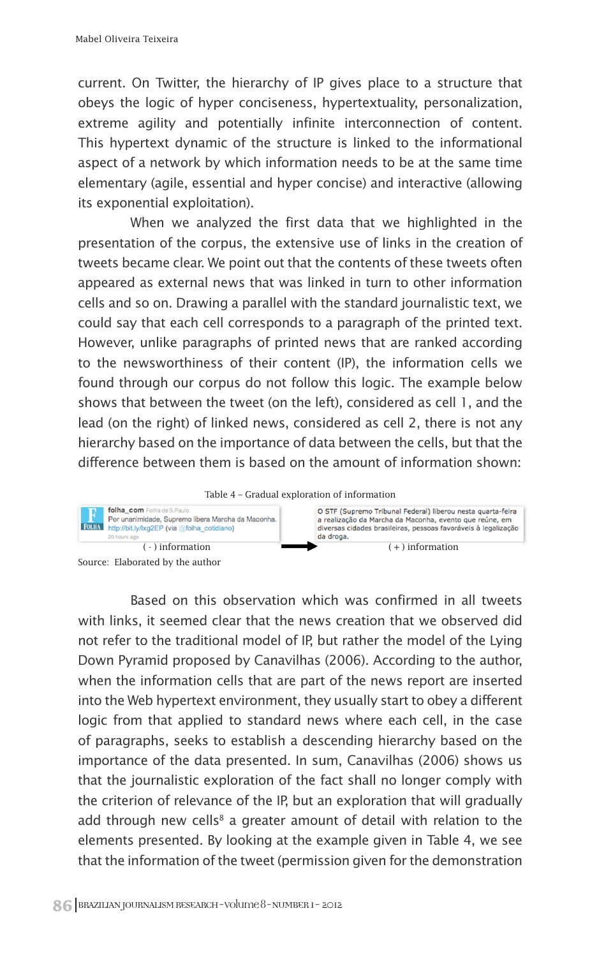current. On Twitter, the hierarchy of IP gives place to a structure that obeys the logic of hyper conciseness, hypertextuality, personalization, extreme agility and potentially infinite interconnection of content. This hypertext dynamic of the structure is linked to the informational aspect of a network by which information needs to be at the same time elementary (agile, essential and hyper concise) and interactive (allowing its exponential exploitation).

When we analyzed the first data that we highlighted in the presentation of the corpus, the extensive use of links in the creation of tweets became clear. We point out that the contents of these tweets often appeared as external news that was linked in turn to other information cells and so on. Drawing a parallel with the standard journalistic text, we could say that each cell corresponds to a paragraph of the printed text. However, unlike paragraphs of printed news that are ranked according to the newsworthiness of their content (IP), the information cells we found through our corpus do not follow this logic. The example below shows that between the tweet (on the left), considered as cell 1, and the lead (on the right) of linked news, considered as cell 2, there is not any hierarchy based on the importance of data between the cells, but that the difference between them is based on the amount of information shown:



Based on this observation which was confirmed in all tweets with links, it seemed clear that the news creation that we observed did not refer to the traditional model of IP, but rather the model of the Lying Down Pyramid proposed by Canavilhas (2006). According to the author, when the information cells that are part of the news report are inserted into the Web hypertext environment, they usually start to obey a different logic from that applied to standard news where each cell, in the case of paragraphs, seeks to establish a descending hierarchy based on the importance of the data presented. In sum, Canavilhas (2006) shows us that the journalistic exploration of the fact shall no longer comply with the criterion of relevance of the IP, but an exploration that will gradually add through new cells<sup>8</sup> a greater amount of detail with relation to the elements presented. By looking at the example given in Table 4, we see that the information of the tweet (permission given for the demonstration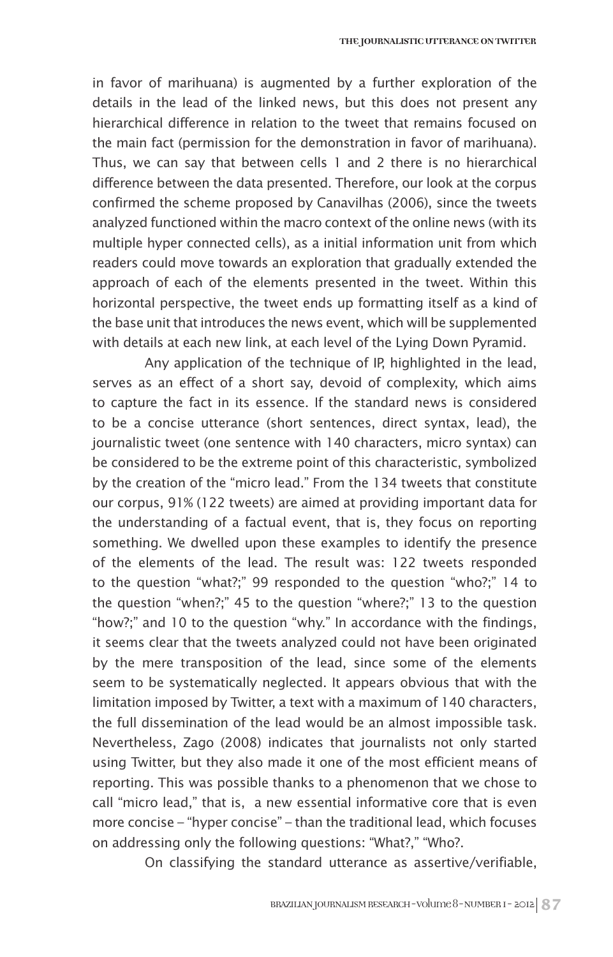in favor of marihuana) is augmented by a further exploration of the details in the lead of the linked news, but this does not present any hierarchical difference in relation to the tweet that remains focused on the main fact (permission for the demonstration in favor of marihuana). Thus, we can say that between cells 1 and 2 there is no hierarchical difference between the data presented. Therefore, our look at the corpus confirmed the scheme proposed by Canavilhas (2006), since the tweets analyzed functioned within the macro context of the online news (with its multiple hyper connected cells), as a initial information unit from which readers could move towards an exploration that gradually extended the approach of each of the elements presented in the tweet. Within this horizontal perspective, the tweet ends up formatting itself as a kind of the base unit that introduces the news event, which will be supplemented with details at each new link, at each level of the Lying Down Pyramid.

Any application of the technique of IP, highlighted in the lead, serves as an effect of a short say, devoid of complexity, which aims to capture the fact in its essence. If the standard news is considered to be a concise utterance (short sentences, direct syntax, lead), the journalistic tweet (one sentence with 140 characters, micro syntax) can be considered to be the extreme point of this characteristic, symbolized by the creation of the "micro lead." From the 134 tweets that constitute our corpus, 91% (122 tweets) are aimed at providing important data for the understanding of a factual event, that is, they focus on reporting something. We dwelled upon these examples to identify the presence of the elements of the lead. The result was: 122 tweets responded to the question "what?;" 99 responded to the question "who?;" 14 to the question "when?;" 45 to the question "where?;" 13 to the question "how?;" and 10 to the question "why." In accordance with the findings, it seems clear that the tweets analyzed could not have been originated by the mere transposition of the lead, since some of the elements seem to be systematically neglected. It appears obvious that with the limitation imposed by Twitter, a text with a maximum of 140 characters, the full dissemination of the lead would be an almost impossible task. Nevertheless, Zago (2008) indicates that journalists not only started using Twitter, but they also made it one of the most efficient means of reporting. This was possible thanks to a phenomenon that we chose to call "micro lead," that is, a new essential informative core that is even more concise – "hyper concise" – than the traditional lead, which focuses on addressing only the following questions: "What?," "Who?.

On classifying the standard utterance as assertive/verifiable,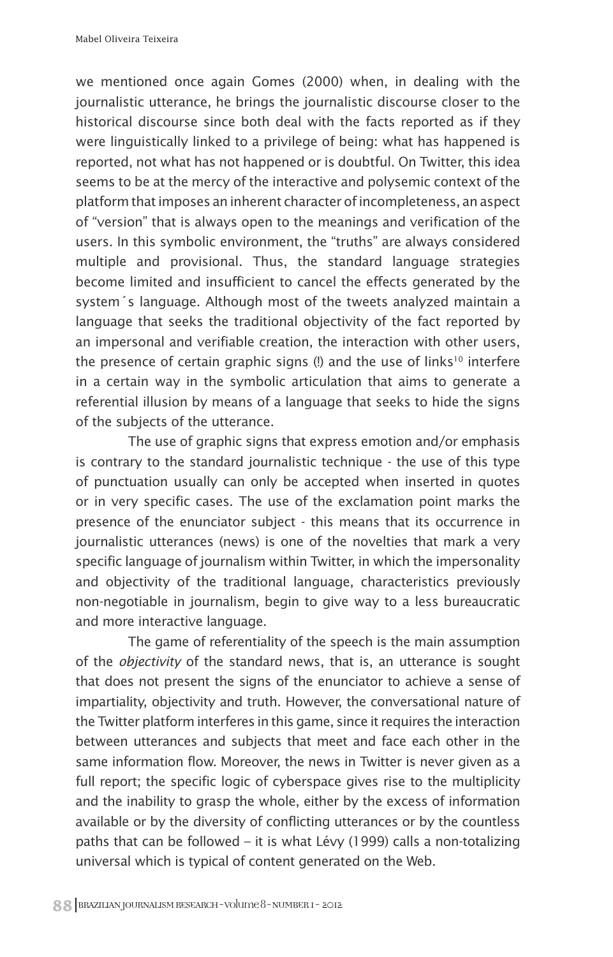we mentioned once again Gomes (2000) when, in dealing with the journalistic utterance, he brings the journalistic discourse closer to the historical discourse since both deal with the facts reported as if they were linguistically linked to a privilege of being: what has happened is reported, not what has not happened or is doubtful. On Twitter, this idea seems to be at the mercy of the interactive and polysemic context of the platform that imposes an inherent character of incompleteness, an aspect of "version" that is always open to the meanings and verification of the users. In this symbolic environment, the "truths" are always considered multiple and provisional. Thus, the standard language strategies become limited and insufficient to cancel the effects generated by the system´s language. Although most of the tweets analyzed maintain a language that seeks the traditional objectivity of the fact reported by an impersonal and verifiable creation, the interaction with other users, the presence of certain graphic signs  $(!)$  and the use of links<sup>10</sup> interfere in a certain way in the symbolic articulation that aims to generate a referential illusion by means of a language that seeks to hide the signs of the subjects of the utterance.

The use of graphic signs that express emotion and/or emphasis is contrary to the standard journalistic technique - the use of this type of punctuation usually can only be accepted when inserted in quotes or in very specific cases. The use of the exclamation point marks the presence of the enunciator subject - this means that its occurrence in journalistic utterances (news) is one of the novelties that mark a very specific language of journalism within Twitter, in which the impersonality and objectivity of the traditional language, characteristics previously non-negotiable in journalism, begin to give way to a less bureaucratic and more interactive language.

The game of referentiality of the speech is the main assumption of the *objectivity* of the standard news, that is, an utterance is sought that does not present the signs of the enunciator to achieve a sense of impartiality, objectivity and truth. However, the conversational nature of the Twitter platform interferes in this game, since it requires the interaction between utterances and subjects that meet and face each other in the same information flow. Moreover, the news in Twitter is never given as a full report; the specific logic of cyberspace gives rise to the multiplicity and the inability to grasp the whole, either by the excess of information available or by the diversity of conflicting utterances or by the countless paths that can be followed – it is what Lévy (1999) calls a non-totalizing universal which is typical of content generated on the Web.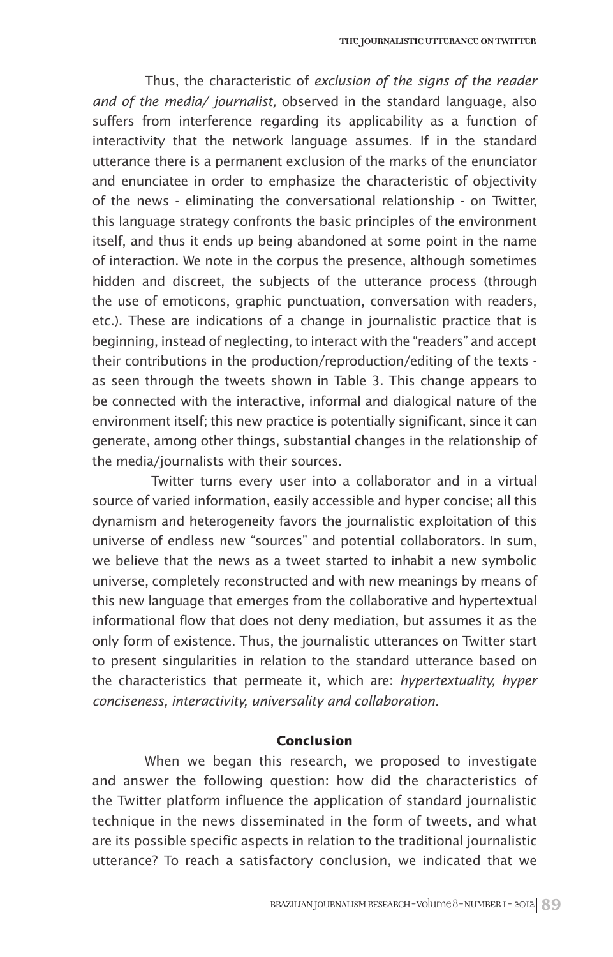Thus, the characteristic of *exclusion of the signs of the reader and of the media/ journalist,* observed in the standard language, also suffers from interference regarding its applicability as a function of interactivity that the network language assumes. If in the standard utterance there is a permanent exclusion of the marks of the enunciator and enunciatee in order to emphasize the characteristic of objectivity of the news - eliminating the conversational relationship - on Twitter, this language strategy confronts the basic principles of the environment itself, and thus it ends up being abandoned at some point in the name of interaction. We note in the corpus the presence, although sometimes hidden and discreet, the subjects of the utterance process (through the use of emoticons, graphic punctuation, conversation with readers, etc.). These are indications of a change in journalistic practice that is beginning, instead of neglecting, to interact with the "readers" and accept their contributions in the production/reproduction/editing of the texts as seen through the tweets shown in Table 3. This change appears to be connected with the interactive, informal and dialogical nature of the environment itself; this new practice is potentially significant, since it can generate, among other things, substantial changes in the relationship of the media/journalists with their sources.

Twitter turns every user into a collaborator and in a virtual source of varied information, easily accessible and hyper concise; all this dynamism and heterogeneity favors the journalistic exploitation of this universe of endless new "sources" and potential collaborators. In sum, we believe that the news as a tweet started to inhabit a new symbolic universe, completely reconstructed and with new meanings by means of this new language that emerges from the collaborative and hypertextual informational flow that does not deny mediation, but assumes it as the only form of existence. Thus, the journalistic utterances on Twitter start to present singularities in relation to the standard utterance based on the characteristics that permeate it, which are: *hypertextuality, hyper conciseness, interactivity, universality and collaboration.*

#### **Conclusion**

When we began this research, we proposed to investigate and answer the following question: how did the characteristics of the Twitter platform influence the application of standard journalistic technique in the news disseminated in the form of tweets, and what are its possible specific aspects in relation to the traditional journalistic utterance? To reach a satisfactory conclusion, we indicated that we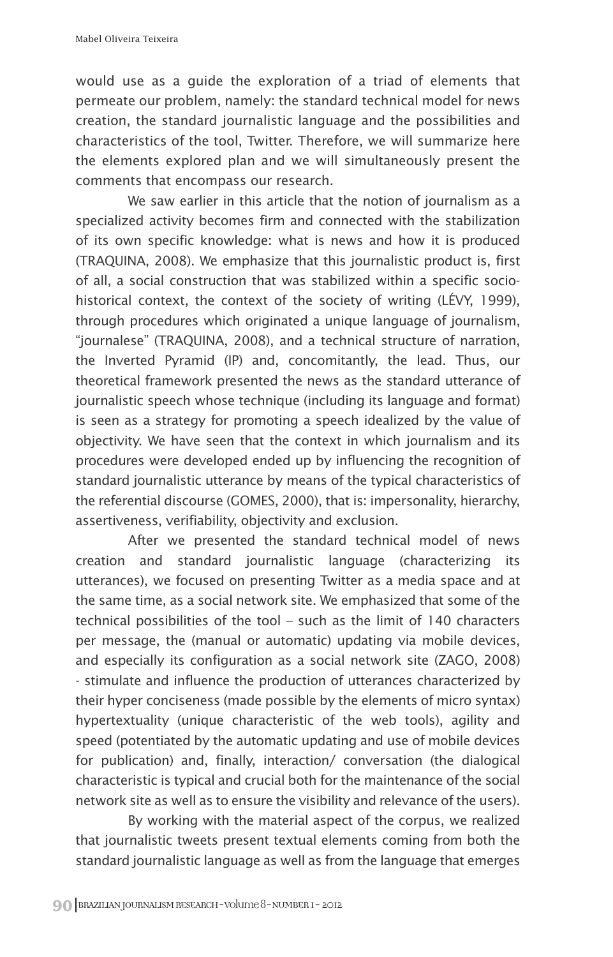would use as a guide the exploration of a triad of elements that permeate our problem, namely: the standard technical model for news creation, the standard journalistic language and the possibilities and characteristics of the tool, Twitter. Therefore, we will summarize here the elements explored plan and we will simultaneously present the comments that encompass our research.

We saw earlier in this article that the notion of journalism as a specialized activity becomes firm and connected with the stabilization of its own specific knowledge: what is news and how it is produced (TRAQUINA, 2008). We emphasize that this journalistic product is, first of all, a social construction that was stabilized within a specific sociohistorical context, the context of the society of writing (LÉVY, 1999), through procedures which originated a unique language of journalism, "journalese" (TRAQUINA, 2008), and a technical structure of narration, the Inverted Pyramid (IP) and, concomitantly, the lead. Thus, our theoretical framework presented the news as the standard utterance of journalistic speech whose technique (including its language and format) is seen as a strategy for promoting a speech idealized by the value of objectivity. We have seen that the context in which journalism and its procedures were developed ended up by influencing the recognition of standard journalistic utterance by means of the typical characteristics of the referential discourse (GOMES, 2000), that is: impersonality, hierarchy, assertiveness, verifiability, objectivity and exclusion.

After we presented the standard technical model of news creation and standard journalistic language (characterizing its utterances), we focused on presenting Twitter as a media space and at the same time, as a social network site. We emphasized that some of the technical possibilities of the tool – such as the limit of 140 characters per message, the (manual or automatic) updating via mobile devices, and especially its configuration as a social network site (ZAGO, 2008) - stimulate and influence the production of utterances characterized by their hyper conciseness (made possible by the elements of micro syntax) hypertextuality (unique characteristic of the web tools), agility and speed (potentiated by the automatic updating and use of mobile devices for publication) and, finally, interaction/ conversation (the dialogical characteristic is typical and crucial both for the maintenance of the social network site as well as to ensure the visibility and relevance of the users).

By working with the material aspect of the corpus, we realized that journalistic tweets present textual elements coming from both the standard journalistic language as well as from the language that emerges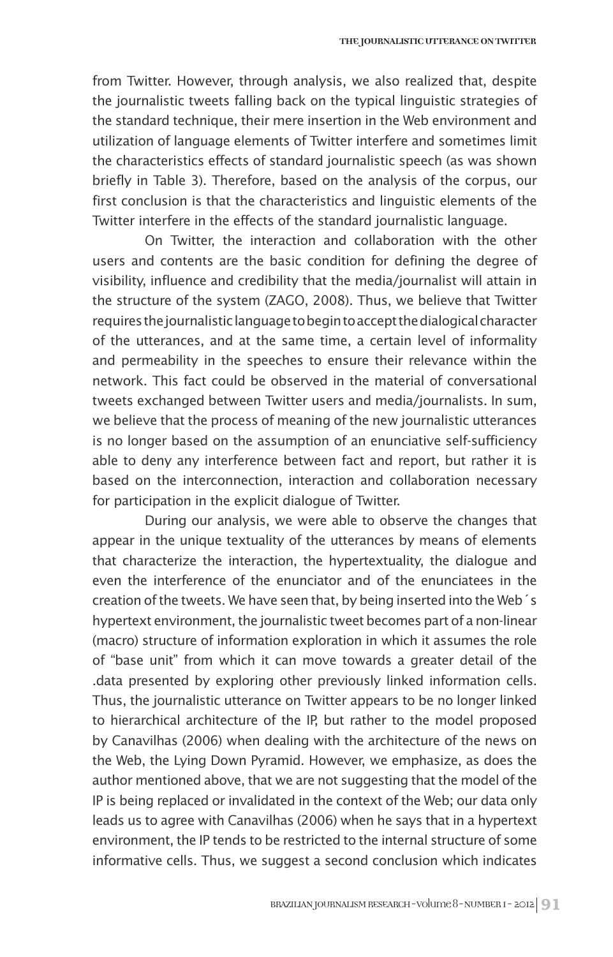from Twitter. However, through analysis, we also realized that, despite the journalistic tweets falling back on the typical linguistic strategies of the standard technique, their mere insertion in the Web environment and utilization of language elements of Twitter interfere and sometimes limit the characteristics effects of standard journalistic speech (as was shown briefly in Table 3). Therefore, based on the analysis of the corpus, our first conclusion is that the characteristics and linguistic elements of the Twitter interfere in the effects of the standard journalistic language.

On Twitter, the interaction and collaboration with the other users and contents are the basic condition for defining the degree of visibility, influence and credibility that the media/journalist will attain in the structure of the system (ZAGO, 2008). Thus, we believe that Twitter requires the journalistic language to begin to accept the dialogical character of the utterances, and at the same time, a certain level of informality and permeability in the speeches to ensure their relevance within the network. This fact could be observed in the material of conversational tweets exchanged between Twitter users and media/journalists. In sum, we believe that the process of meaning of the new journalistic utterances is no longer based on the assumption of an enunciative self-sufficiency able to deny any interference between fact and report, but rather it is based on the interconnection, interaction and collaboration necessary for participation in the explicit dialogue of Twitter.

During our analysis, we were able to observe the changes that appear in the unique textuality of the utterances by means of elements that characterize the interaction, the hypertextuality, the dialogue and even the interference of the enunciator and of the enunciatees in the creation of the tweets. We have seen that, by being inserted into the Web´s hypertext environment, the journalistic tweet becomes part of a non-linear (macro) structure of information exploration in which it assumes the role of "base unit" from which it can move towards a greater detail of the .data presented by exploring other previously linked information cells. Thus, the journalistic utterance on Twitter appears to be no longer linked to hierarchical architecture of the IP, but rather to the model proposed by Canavilhas (2006) when dealing with the architecture of the news on the Web, the Lying Down Pyramid. However, we emphasize, as does the author mentioned above, that we are not suggesting that the model of the IP is being replaced or invalidated in the context of the Web; our data only leads us to agree with Canavilhas (2006) when he says that in a hypertext environment, the IP tends to be restricted to the internal structure of some informative cells. Thus, we suggest a second conclusion which indicates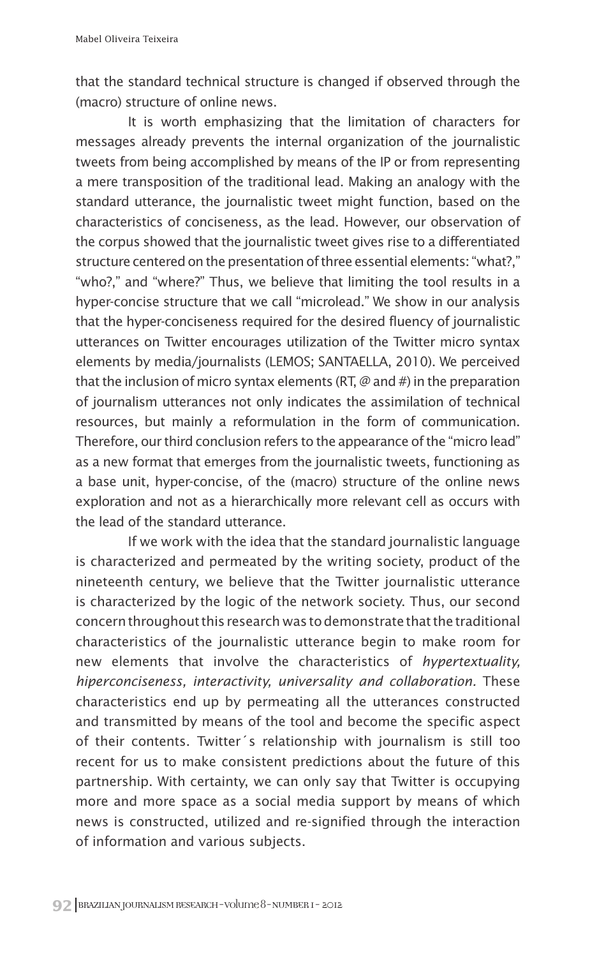that the standard technical structure is changed if observed through the (macro) structure of online news.

It is worth emphasizing that the limitation of characters for messages already prevents the internal organization of the journalistic tweets from being accomplished by means of the IP or from representing a mere transposition of the traditional lead. Making an analogy with the standard utterance, the journalistic tweet might function, based on the characteristics of conciseness, as the lead. However, our observation of the corpus showed that the journalistic tweet gives rise to a differentiated structure centered on the presentation of three essential elements: "what?," "who?," and "where?" Thus, we believe that limiting the tool results in a hyper-concise structure that we call "microlead." We show in our analysis that the hyper-conciseness required for the desired fluency of journalistic utterances on Twitter encourages utilization of the Twitter micro syntax elements by media/journalists (LEMOS; SANTAELLA, 2010). We perceived that the inclusion of micro syntax elements (RT, @ and #) in the preparation of journalism utterances not only indicates the assimilation of technical resources, but mainly a reformulation in the form of communication. Therefore, our third conclusion refers to the appearance of the "micro lead" as a new format that emerges from the journalistic tweets, functioning as a base unit, hyper-concise, of the (macro) structure of the online news exploration and not as a hierarchically more relevant cell as occurs with the lead of the standard utterance.

If we work with the idea that the standard journalistic language is characterized and permeated by the writing society, product of the nineteenth century, we believe that the Twitter journalistic utterance is characterized by the logic of the network society. Thus, our second concern throughout this research was to demonstrate that the traditional characteristics of the journalistic utterance begin to make room for new elements that involve the characteristics of *hypertextuality, hiperconciseness, interactivity, universality and collaboration.* These characteristics end up by permeating all the utterances constructed and transmitted by means of the tool and become the specific aspect of their contents. Twitter´s relationship with journalism is still too recent for us to make consistent predictions about the future of this partnership. With certainty, we can only say that Twitter is occupying more and more space as a social media support by means of which news is constructed, utilized and re-signified through the interaction of information and various subjects.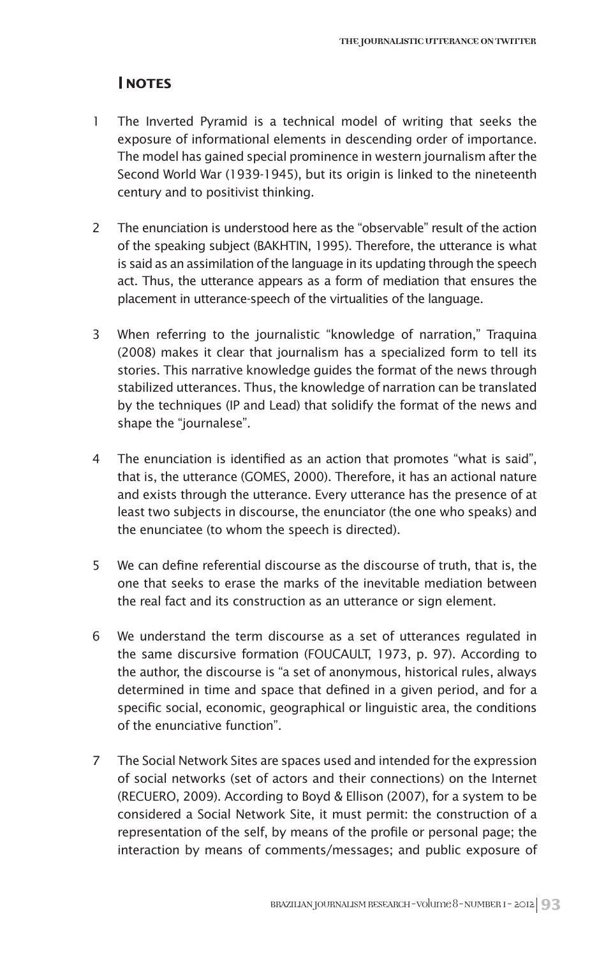## **NOTES**

- 1 The Inverted Pyramid is a technical model of writing that seeks the exposure of informational elements in descending order of importance. The model has gained special prominence in western journalism after the Second World War (1939-1945), but its origin is linked to the nineteenth century and to positivist thinking.
- 2 The enunciation is understood here as the "observable" result of the action of the speaking subject (BAKHTIN, 1995). Therefore, the utterance is what is said as an assimilation of the language in its updating through the speech act. Thus, the utterance appears as a form of mediation that ensures the placement in utterance-speech of the virtualities of the language.
- 3 When referring to the journalistic "knowledge of narration," Traquina (2008) makes it clear that journalism has a specialized form to tell its stories. This narrative knowledge guides the format of the news through stabilized utterances. Thus, the knowledge of narration can be translated by the techniques (IP and Lead) that solidify the format of the news and shape the "journalese".
- 4 The enunciation is identified as an action that promotes "what is said", that is, the utterance (GOMES, 2000). Therefore, it has an actional nature and exists through the utterance. Every utterance has the presence of at least two subjects in discourse, the enunciator (the one who speaks) and the enunciatee (to whom the speech is directed).
- 5 We can define referential discourse as the discourse of truth, that is, the one that seeks to erase the marks of the inevitable mediation between the real fact and its construction as an utterance or sign element.
- 6 We understand the term discourse as a set of utterances regulated in the same discursive formation (FOUCAULT, 1973, p. 97). According to the author, the discourse is "a set of anonymous, historical rules, always determined in time and space that defined in a given period, and for a specific social, economic, geographical or linguistic area, the conditions of the enunciative function".
- 7 The Social Network Sites are spaces used and intended for the expression of social networks (set of actors and their connections) on the Internet (RECUERO, 2009). According to Boyd & Ellison (2007), for a system to be considered a Social Network Site, it must permit: the construction of a representation of the self, by means of the profile or personal page; the interaction by means of comments/messages; and public exposure of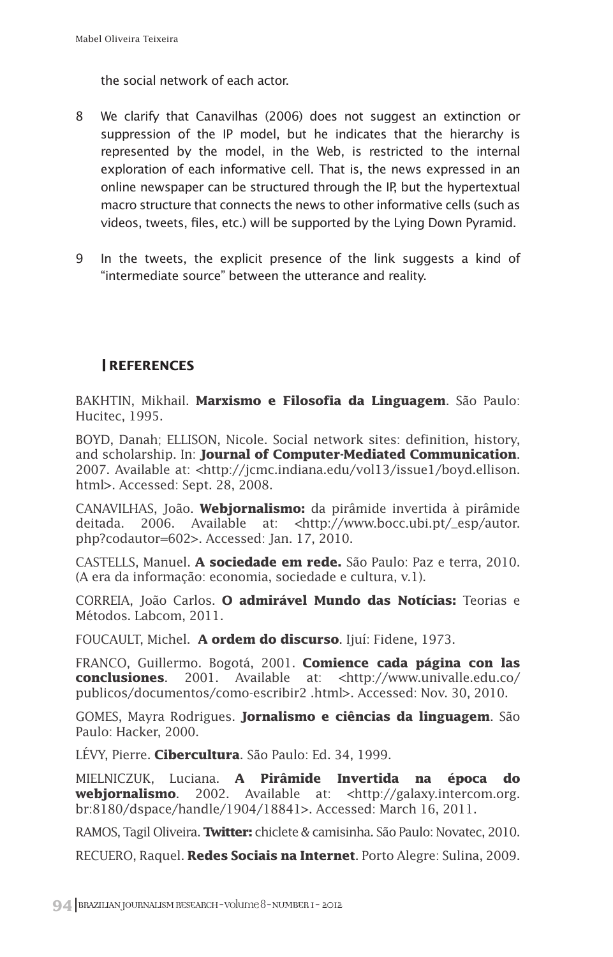the social network of each actor.

- 8 We clarify that Canavilhas (2006) does not suggest an extinction or suppression of the IP model, but he indicates that the hierarchy is represented by the model, in the Web, is restricted to the internal exploration of each informative cell. That is, the news expressed in an online newspaper can be structured through the IP, but the hypertextual macro structure that connects the news to other informative cells (such as videos, tweets, files, etc.) will be supported by the Lying Down Pyramid.
- 9 In the tweets, the explicit presence of the link suggests a kind of "intermediate source" between the utterance and reality.

## **REFERENCES**

BAKHTIN, Mikhail. **Marxismo e Filosofia da Linguagem**. São Paulo: Hucitec, 1995.

BOYD, Danah; ELLISON, Nicole. Social network sites: definition, history, and scholarship. In: **Journal of Computer-Mediated Communication**. 2007. Available at: <http://jcmc.indiana.edu/vol13/issue1/boyd.ellison. html>. Accessed: Sept. 28, 2008.

CANAVILHAS, João. **Webjornalismo:** da pirâmide invertida à pirâmide deitada. 2006. Available at: <http://www.bocc.ubi.pt/\_esp/autor. php?codautor=602>. Accessed: Jan. 17, 2010.

CASTELLS, Manuel. **A sociedade em rede.** São Paulo: Paz e terra, 2010. (A era da informação: economia, sociedade e cultura, v.1).

CORREIA, João Carlos. **O admirável Mundo das Notícias:** Teorias e Métodos. Labcom, 2011.

FOUCAULT, Michel. **A ordem do discurso**. Ijuí: Fidene, 1973.

FRANCO, Guillermo. Bogotá, 2001. **Comience cada página con las conclusiones**. 2001. Available at: <http://www.univalle.edu.co/ publicos/documentos/como-escribir2 .html>. Accessed: Nov. 30, 2010.

GOMES, Mayra Rodrigues. **Jornalismo e ciências da linguagem**. São Paulo: Hacker, 2000.

LÉVY, Pierre. **Cibercultura**. São Paulo: Ed. 34, 1999.

MIELNICZUK, Luciana. **A Pirâmide Invertida na época do webjornalismo**. 2002. Available at: <http://galaxy.intercom.org. br:8180/dspace/handle/1904/18841>. Accessed: March 16, 2011.

RAMOS, Tagil Oliveira. **Twitter:** chiclete & camisinha. São Paulo: Novatec, 2010.

RECUERO, Raquel. **Redes Sociais na Internet**. Porto Alegre: Sulina, 2009.